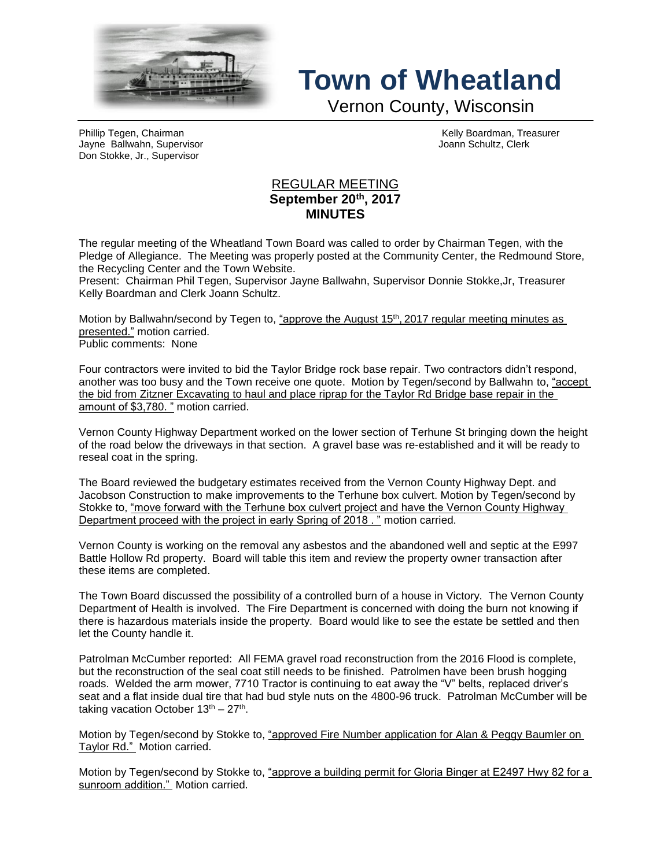

## **Town of Wheatland**

Vernon County, Wisconsin

Phillip Tegen, Chairman Kelly Boardman, Treasurer Jayne Ballwahn, Supervisor Joann Schultz, Clerk Don Stokke, Jr., Supervisor

## REGULAR MEETING **September 20th , 2017 MINUTES**

The regular meeting of the Wheatland Town Board was called to order by Chairman Tegen, with the Pledge of Allegiance. The Meeting was properly posted at the Community Center, the Redmound Store, the Recycling Center and the Town Website.

Present: Chairman Phil Tegen, Supervisor Jayne Ballwahn, Supervisor Donnie Stokke,Jr, Treasurer Kelly Boardman and Clerk Joann Schultz.

Motion by Ballwahn/second by Tegen to, <u>"approve the August 15<sup>th</sup>, 2017 regular meeting minutes as</u> presented." motion carried. Public comments: None

Four contractors were invited to bid the Taylor Bridge rock base repair. Two contractors didn't respond, another was too busy and the Town receive one quote. Motion by Tegen/second by Ballwahn to, "accept the bid from Zitzner Excavating to haul and place riprap for the Taylor Rd Bridge base repair in the amount of \$3,780. " motion carried.

Vernon County Highway Department worked on the lower section of Terhune St bringing down the height of the road below the driveways in that section. A gravel base was re-established and it will be ready to reseal coat in the spring.

The Board reviewed the budgetary estimates received from the Vernon County Highway Dept. and Jacobson Construction to make improvements to the Terhune box culvert. Motion by Tegen/second by Stokke to, "move forward with the Terhune box culvert project and have the Vernon County Highway Department proceed with the project in early Spring of 2018 . " motion carried.

Vernon County is working on the removal any asbestos and the abandoned well and septic at the E997 Battle Hollow Rd property. Board will table this item and review the property owner transaction after these items are completed.

The Town Board discussed the possibility of a controlled burn of a house in Victory. The Vernon County Department of Health is involved. The Fire Department is concerned with doing the burn not knowing if there is hazardous materials inside the property. Board would like to see the estate be settled and then let the County handle it.

Patrolman McCumber reported: All FEMA gravel road reconstruction from the 2016 Flood is complete, but the reconstruction of the seal coat still needs to be finished. Patrolmen have been brush hogging roads. Welded the arm mower, 7710 Tractor is continuing to eat away the "V" belts, replaced driver's seat and a flat inside dual tire that had bud style nuts on the 4800-96 truck. Patrolman McCumber will be taking vacation October  $13<sup>th</sup> - 27<sup>th</sup>$ .

Motion by Tegen/second by Stokke to, "approved Fire Number application for Alan & Peggy Baumler on Taylor Rd." Motion carried.

Motion by Tegen/second by Stokke to, "approve a building permit for Gloria Binger at E2497 Hwy 82 for a sunroom addition." Motion carried.